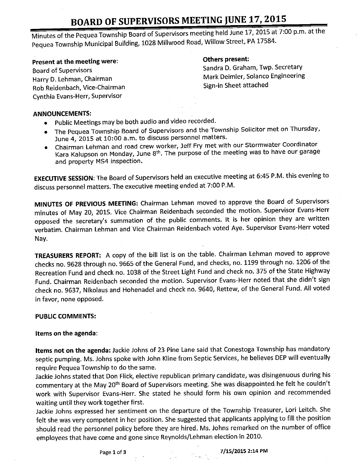# BOARD OF SUPERVISORS MEETING JUNE 17, 2015

Minutes of the Pequea Township Board of Supervisors meeting held June 17, 2015 at 7:00 p.m. at the Pequea Township Municipal Building, 1028 Millwood Road, Willow Street, PA 17584.

#### Present at the meeting were:

Rob Reidenbach, Vice-Chairman Cynthia Evans-Herr, Supervisor

### Others present:

Board of Supervisors **Sandra D. Graham, Twp. Secretary** Harry D. Lehman, Chairman Mark Deimler, Solanco Engineering<br>
Rob Beidenbach, Vice-Chairman Mark Deimler, Solanco Engineering

### ANNOUNCEMENTS:

- Public Meetings may be both audio and video recorded.
- The Pequea Township Board of Supervisors and the Township Solicitor met on Thursday, June 4, 2015 at 10:00 a.m. to discuss personnel matters.
- Chairman Lehman and road crew worker, Jeff Fry met with our Stormwater Coordinator Kara Kalupson on Monday, June 8th. The purpose of the meeting was to have our garage and property MS4 inspection.

EXECUTIVE SESSION: The Board of Supervisors held an executive meeting at 6:45 P.M. this evening to discuss personnel matters. The executive meeting ended at 7:00 P.M.

MINUTES OF PREVIOUS MEETING: Chairman Lehman moved to approve the Board of Supervisors minutes of May 20, 2015. Vice Chairman Reidenbach seconded the motion. Supervisor Evans- Herr opposed the secretary's summation of the public comments. It is her opinion they are written verbatim. Chairman Lehman and Vice Chairman Reidenbach voted Aye. Supervisor Evans- Herr voted Nay.

TREASURERS REPORT: A copy of the bill list is on the table. Chairman Lehman moved to approve checks no. 9628 through no. 9665 of the General Fund, and checks, no. 1199 through no. 1206 of the Recreation Fund and check no. 1038 of the Street Light Fund and check no. 375 of the State Highway Fund. Chairman Reidenbach seconded the motion. Supervisor Evans-Herr noted that she didn't sign check no. 9637, Nikolaus and Hohenadel and check no. 9640, Rettew, of the General Fund. All voted in favor, none opposed.

### PUBLIC COMMENTS:

### Items on the agenda:

Items not on the agenda: Jackie Johns of 23 Pine Lane said that Conestoga Township has mandatory septic pumping. Ms. Johns spoke with John Kline from Septic Services, he believes DEP will eventually require Pequea Township to do the same.

Jackie Johns stated that Don Flick, elective republican primary candidate, was disingenuous during his commentary at the May 20<sup>th</sup> Board of Supervisors meeting. She was disappointed he felt he couldn't work with Supervisor Evans-Herr. She stated he should form his own opinion and recommended waiting until they work together first.

Jackie Johns expressed her sentiment on the departure of the Township Treasurer, Lori Leitch. She felt she was very competent in her position. She suggested that applicants applying to fill the position should read the personnel policy before they are hired. Ms. Johns remarked on the number of office employees that have come and gone since Reynolds/Lehman election in 2010.

Page 1 of 3 7/15/2015 2:14 PM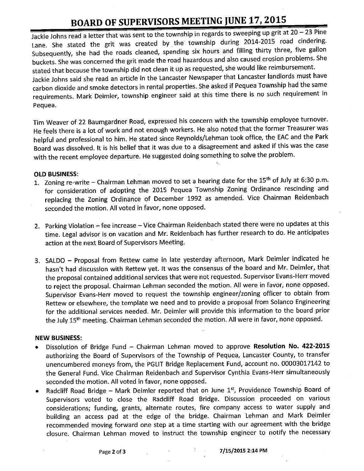## BOARD OF SUPERVISORS MEETING JUNE 17, 2015

Jackie Johns read <sup>a</sup> letter that was sent to the township in regards to sweeping up grit at 20 —23 Pine Lane. She stated the grit was created by the township during 2014-2015 road cindering. Subsequently, she had the roads cleaned, spending six hours and filling thirty three, five gallon buckets. She was concerned the grit made the road hazardous and also caused erosion problems. She stated that because the township did not clean it up as requested, she would like reimbursement. Jackie Johns said she read an article in the Lancaster Newspaper that Lancaster landlords must have carbon dioxide and smoke detectors in rental properties. She asked if Pequea Township had the same requirements. Mark Deimler, township engineer said at this time there is no such requirement in Pequea.

Tim Weaver of 22 Baumgardner Road, expressed his concern with the township employee turnover. He feels there is a lot of work and not enough workers. He also noted that the former Treasurer was helpful and professional to him. He stated since Reynolds/ Lehman took office, the EAC and the Park Board was dissolved. It is his belief that it was due to <sup>a</sup> disagreement and asked if this was the case with the recent employee departure. He suggested doing something to solve the problem.

### OLD BUSINESS:

- 1. Zoning re-write Chairman Lehman moved to set a hearing date for the  $15<sup>th</sup>$  of July at 6:30 p.m. for consideration of adopting the 2015 Pequea Township Zoning Ordinance rescinding and replacing the Zoning Ordinance of December 1992 as amended. Vice Chairman Reidenbach seconded the motion. All voted in favor, none opposed.
- 2. Parking Violation —fee increase— Vice Chairman Reidenbach stated there were no updates at this time. Legal advisor is on vacation and Mr. Reidenbach has further research to do. He anticipates action at the next Board of Supervisors Meeting.
- 3. SALDO Proposal from Rettew came in late yesterday afternoon, Mark Deimler indicated he hasn't had discussion with Rettew yet. It was the consensus of the board and Mr. Deimler, that the proposal contained additional services that were not requested. Supervisor Evans- Herr moved to reject the proposal. Chairman Lehman seconded the motion. All were in favor, none opposed. Supervisor Evans-Herr moved to request the township engineer/zoning officer to obtain from Rettew or elsewhere, the template we need and to provide a proposal from Solanco Engineering for the additional services needed. Mr. Deimler will provide this information to the board prior the July 15<sup>th</sup> meeting. Chairman Lehman seconded the motion. All were in favor, none opposed.

### NEW BUSINESS:

- Dissolution of Bridge Fund Chairman Lehman moved to approve Resolution No. 422-2015 authorizing the Board of Supervisors of the Township of Pequea, Lancaster County, to transfer unencumbered moneys from, the PGLIT Bridge Replacement Fund, account no. 00003017142 to the General Fund. Vice Chairman Reidenbach and Supervisor Cynthia Evans- Herr simultaneously seconded the motion. All voted in favor, none opposed.
- Radcliff Road Bridge Mark Deimler reported that on June 1st, Providence Township Board of Supervisors voted to close the Radcliff Road Bridge. Discussion proceeded on various considerations; funding, grants, alternate routes, fire company access to water supply and building an access pad at the edge of the bridge. Chairman Lehman and Mark Deimler recommended moving forward one step at a time starting with our agreement with the bridge closure. Chairman Lehman moved to instruct the township engineer to notify the necessary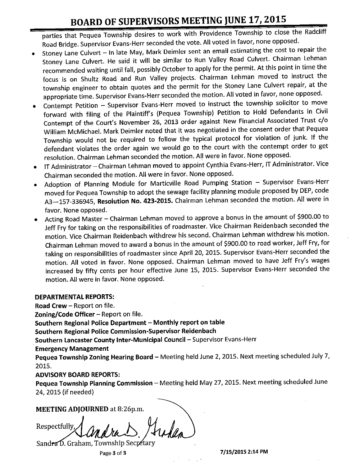# BOARD OF SUPERVISORS MEETING JUNE 17, 2015

parties that Pequea Township desires to work with Providence Township to close the Radcliff Road Bridge. Supervisor Evans- Herr seconded the vote. All voted in favor, none opposed.

- Stoney Lane Culvert In late May, Mark Deimler sent an email estimating the cost to repair the  $\bullet$ Stoney Lane Culvert. He said it will be similar to Run Valley Road Culvert. Chairman Lehman recommended waiting until fall, possibly October to apply for the permit. At this point in time the focus is on Shultz Road and Run Valley projects. Chairman Lehman moved to instruct the township engineer to obtain quotes and the permit for the Stoney Lane Culvert repair, at the appropriate time. Supervisor Evans- Herr seconded the motion. All voted in favor, none opposed.
- Contempt Petition– Supervisor Evans- Herr moved to instruct the township solicitor to move ۰ forward with filing of the Plaintiff's (Pequea Township) Petition to Hold Defendants in Civil Contempt of the Court's November 26, 2013 order against New Financial Associated Trust c/o William McMichael. Mark Deimler noted that it was negotiated in the consent order that Pequea Township would not be required to follow the typical protocol for violation of junk. If the defendant violates the order again we would go to the court with the contempt order to get resolution. Chairman Lehman seconded the motion. All were in favor. None opposed.
- IT Administrator– Chairman Lehman moved to appoint Cynthia Evans- Herr, IT Administrator. Vice Chairman seconded the motion. All were in favor. None opposed.
- Adoption of Planning Module for Marticville Road Pumping Station Supervisor Evans- Herr moved for Pequea Township to adopt the sewage facility planning module proposed by DEP, code A3-157-336945, Resolution No. 423-2015. Chairman Lehman seconded the motion. All were in favor. None opposed.
- Acting Road Master Chairman Lehman moved to approve <sup>a</sup> bonus in the amount of \$900.00 to Jeff Fry for taking on the responsibilities of roadmaster. Vice Chairman Reidenbach seconded the motion. Vice Chairman Reidenbach withdrew his second. Chairman Lehman withdrew his motion. Chairman Lehman moved to award a bonus in the amount of \$900.00 to road worker, Jeff Fry, for taking on responsibilities of roadmaster since April 20, 2015. Supervisor Evans- Herr seconded the motion. All voted in favor. None opposed. Chairman Lehman moved to have Jeff Fry's wages increased by fifty cents per hour effective June 15, 2015. Supervisor Evans-Herr seconded the motion. All were in favor. None opposed.

## DEPARTMENTAL REPORTS:

Road Crew– Report on file.

Zoning/Code Officer  $-$  Report on file.

Southern Regional Police Department– Monthly report on table

Southern Regional Police Commission- Supervisor Reidenbach

Southern Lancaster County Inter-Municipal Council– Supervisor Evans- Herr

Emergency Management

Pequea Township Zoning Hearing Board – Meeting held June 2, 2015. Next meeting scheduled July 7, 2015.

## ADVISORY BOARD REPORTS:

Pequea Township Planning Commission - Meeting held May 27, 2015. Next meeting scheduled June 24, 2015 (if needed)

MEETING ADJOURNED at 8:26p.m.

Respectfully, I

Sandra D. Graham, Township Secretary

Page 3 of 3 7/15/2015 2:14 PM